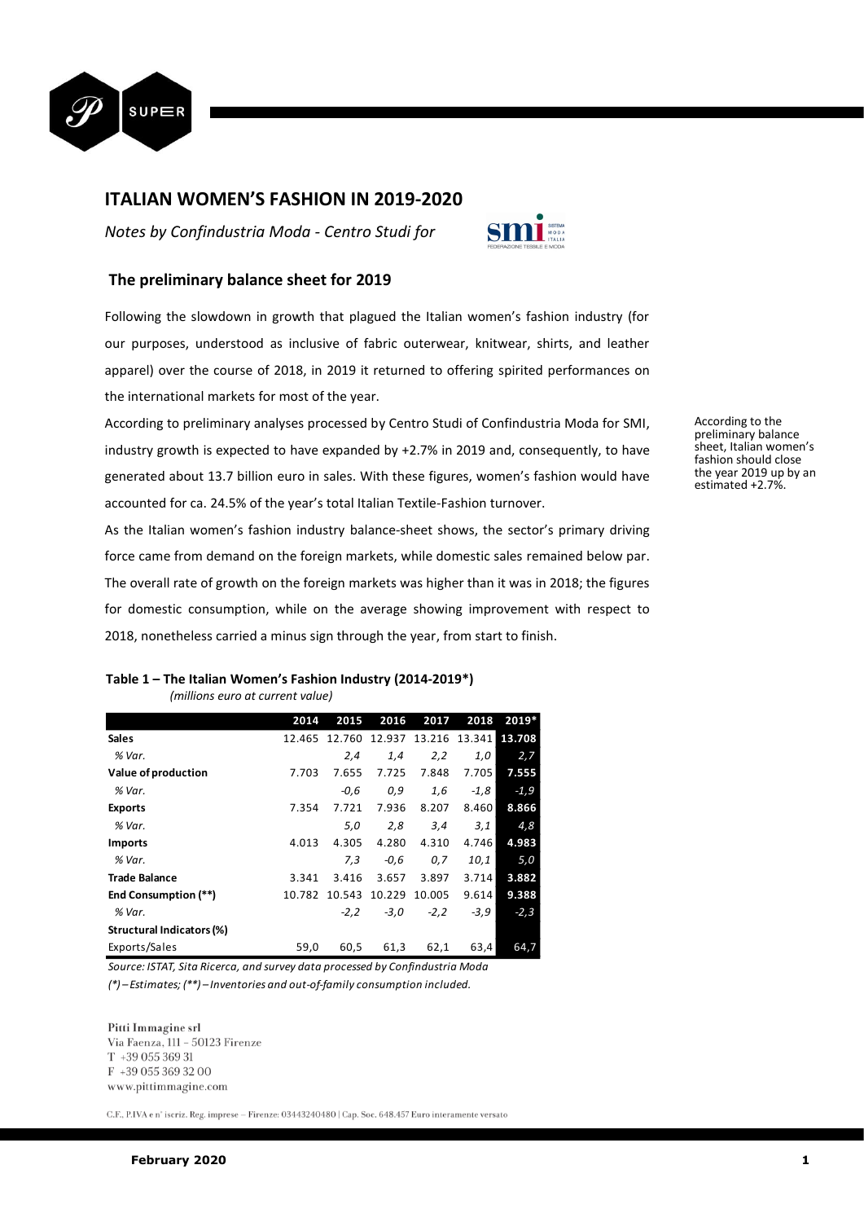

# **ITALIAN WOMEN'S FASHION IN 2019-2020**

*Notes by Confindustria Moda - Centro Studi for* 



## **The preliminary balance sheet for 2019**

Following the slowdown in growth that plagued the Italian women's fashion industry (for our purposes, understood as inclusive of fabric outerwear, knitwear, shirts, and leather apparel) over the course of 2018, in 2019 it returned to offering spirited performances on the international markets for most of the year.

According to preliminary analyses processed by Centro Studi of Confindustria Moda for SMI, industry growth is expected to have expanded by +2.7% in 2019 and, consequently, to have generated about 13.7 billion euro in sales. With these figures, women's fashion would have accounted for ca. 24.5% of the year's total Italian Textile-Fashion turnover.

As the Italian women's fashion industry balance-sheet shows, the sector's primary driving force came from demand on the foreign markets, while domestic sales remained below par. The overall rate of growth on the foreign markets was higher than it was in 2018; the figures for domestic consumption, while on the average showing improvement with respect to 2018, nonetheless carried a minus sign through the year, from start to finish.

## **Table 1 – The Italian Women's Fashion Industry (2014-2019\*)**

 *(millions euro at current value)*

|                             | 2014   | 2015   | 2016   | 2017   | 2018   | 2019*  |
|-----------------------------|--------|--------|--------|--------|--------|--------|
| Sales                       | 12.465 | 12.760 | 12.937 | 13.216 | 13.341 | 13.708 |
| % Var.                      |        | 2.4    | 1,4    | 2,2    | 1,0    | 2,7    |
| Value of production         | 7.703  | 7.655  | 7.725  | 7.848  | 7.705  | 7.555  |
| % Var.                      |        | -0.6   | 0,9    | 1,6    | $-1,8$ | $-1,9$ |
| <b>Exports</b>              | 7.354  | 7.721  | 7.936  | 8.207  | 8.460  | 8.866  |
| % Var.                      |        | 5,0    | 2,8    | 3,4    | 3,1    | 4,8    |
| <b>Imports</b>              | 4.013  | 4.305  | 4.280  | 4.310  | 4.746  | 4.983  |
| % Var.                      |        | 7.3    | $-0,6$ | 0,7    | 10,1   | 5,0    |
| <b>Trade Balance</b>        | 3.341  | 3.416  | 3.657  | 3.897  | 3.714  | 3.882  |
| <b>End Consumption (**)</b> | 10.782 | 10.543 | 10.229 | 10.005 | 9.614  | 9.388  |
| % Var.                      |        | $-2,2$ | $-3,0$ | $-2,2$ | $-3,9$ | $-2,3$ |
| Structural Indicators (%)   |        |        |        |        |        |        |
| Exports/Sales               | 59,0   | 60,5   | 61,3   | 62,1   | 63,4   | 64,7   |

*Source: ISTAT, Sita Ricerca, and survey data processed by Confindustria Moda (\*) – Estimates; (\*\*) – Inventories and out-of-family consumption included.*

#### Pitti Immagine srl

Via Faenza, 111 - 50123 Firenze  $T + 3905536931$ F +39 055 369 32 00 www.pittimmagine.com

 $\rm C.F.,$  P.IVA e nº iscriz. Reg. imprese – Firenze: 03443240480 | Cap. Soc. 648.457 Euro interamente versato

According to the preliminary balance sheet, Italian women's fashion should close the year 2019 up by an estimated +2.7%.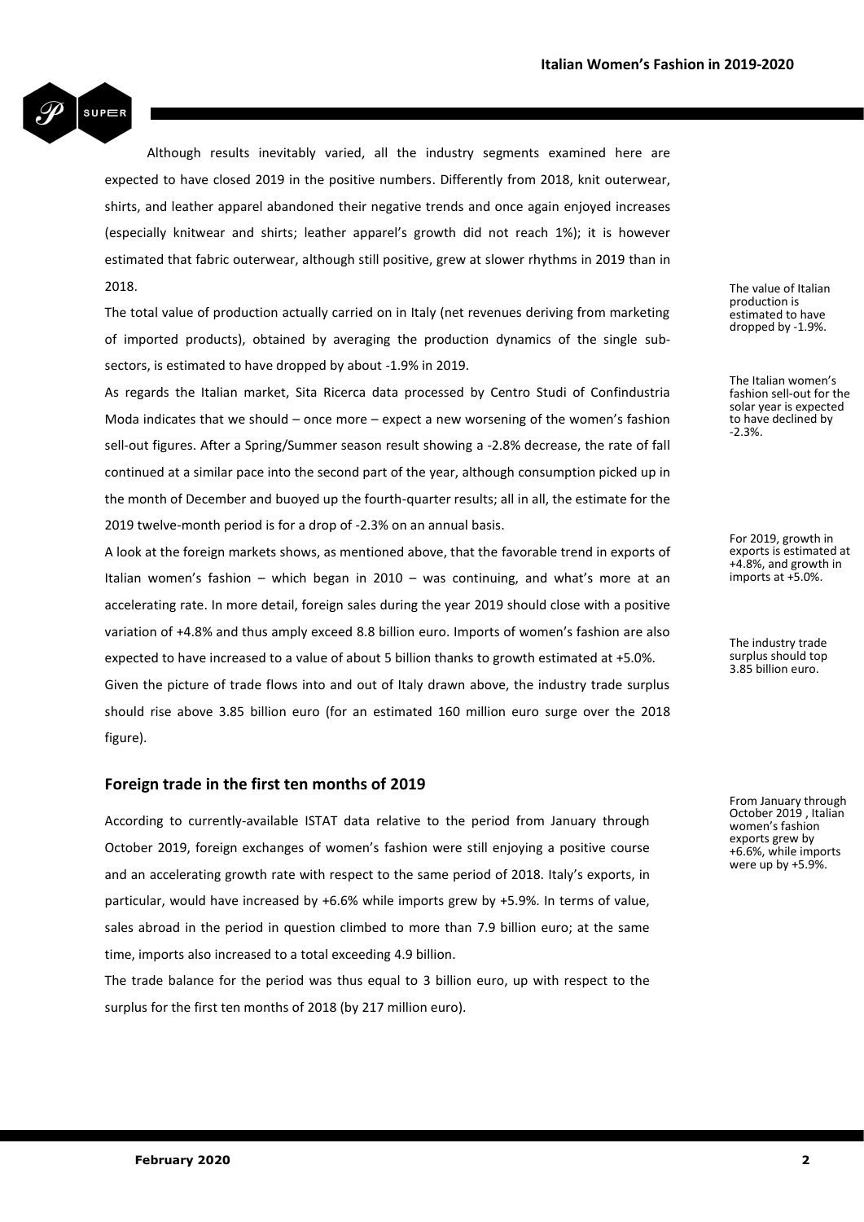

Although results inevitably varied, all the industry segments examined here are expected to have closed 2019 in the positive numbers. Differently from 2018, knit outerwear, shirts, and leather apparel abandoned their negative trends and once again enjoyed increases (especially knitwear and shirts; leather apparel's growth did not reach 1%); it is however estimated that fabric outerwear, although still positive, grew at slower rhythms in 2019 than in 2018.

The total value of production actually carried on in Italy (net revenues deriving from marketing of imported products), obtained by averaging the production dynamics of the single subsectors, is estimated to have dropped by about -1.9% in 2019.

As regards the Italian market, Sita Ricerca data processed by Centro Studi of Confindustria Moda indicates that we should – once more – expect a new worsening of the women's fashion sell-out figures. After a Spring/Summer season result showing a -2.8% decrease, the rate of fall continued at a similar pace into the second part of the year, although consumption picked up in the month of December and buoyed up the fourth-quarter results; all in all, the estimate for the 2019 twelve-month period is for a drop of -2.3% on an annual basis.

A look at the foreign markets shows, as mentioned above, that the favorable trend in exports of Italian women's fashion – which began in 2010 – was continuing, and what's more at an accelerating rate. In more detail, foreign sales during the year 2019 should close with a positive variation of +4.8% and thus amply exceed 8.8 billion euro. Imports of women's fashion are also expected to have increased to a value of about 5 billion thanks to growth estimated at +5.0%. Given the picture of trade flows into and out of Italy drawn above, the industry trade surplus should rise above 3.85 billion euro (for an estimated 160 million euro surge over the 2018 figure).

## **Foreign trade in the first ten months of 2019**

According to currently-available ISTAT data relative to the period from January through October 2019, foreign exchanges of women's fashion were still enjoying a positive course and an accelerating growth rate with respect to the same period of 2018. Italy's exports, in particular, would have increased by +6.6% while imports grew by +5.9%. In terms of value, sales abroad in the period in question climbed to more than 7.9 billion euro; at the same time, imports also increased to a total exceeding 4.9 billion.

The trade balance for the period was thus equal to 3 billion euro, up with respect to the surplus for the first ten months of 2018 (by 217 million euro).

The value of Italian production is estimated to have dropped by -1.9%.

The Italian women's fashion sell-out for the solar year is expected to have declined by -2.3%.

For 2019, growth in exports is estimated at +4.8%, and growth in imports at +5.0%.

The industry trade surplus should top 3.85 billion euro.

From January through October 2019 , Italian women's fashion exports grew by +6.6%, while imports were up by +5.9%.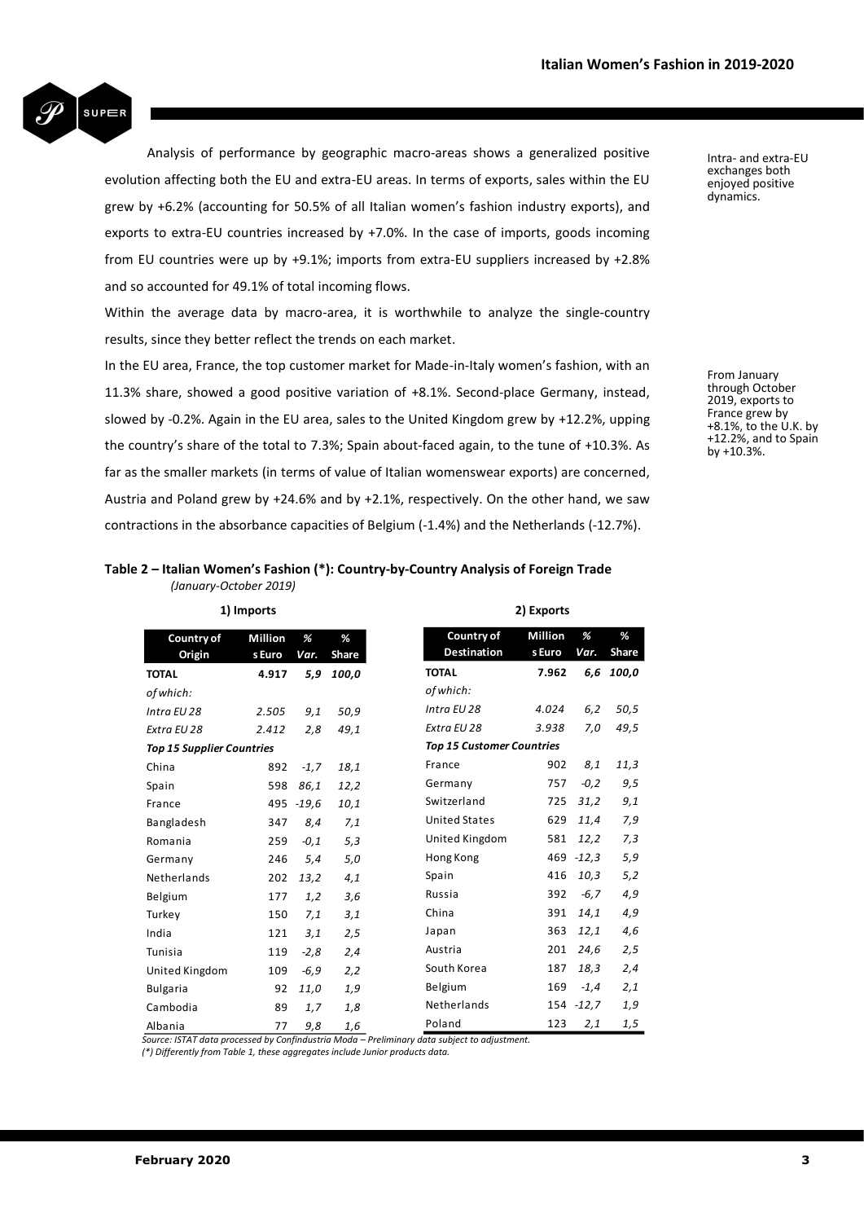

Analysis of performance by geographic macro-areas shows a generalized positive evolution affecting both the EU and extra-EU areas. In terms of exports, sales within the EU grew by +6.2% (accounting for 50.5% of all Italian women's fashion industry exports), and exports to extra-EU countries increased by +7.0%. In the case of imports, goods incoming from EU countries were up by +9.1%; imports from extra-EU suppliers increased by +2.8% and so accounted for 49.1% of total incoming flows.

Within the average data by macro-area, it is worthwhile to analyze the single-country results, since they better reflect the trends on each market.

In the EU area, France, the top customer market for Made-in-Italy women's fashion, with an 11.3% share, showed a good positive variation of +8.1%. Second-place Germany, instead, slowed by -0.2%. Again in the EU area, sales to the United Kingdom grew by +12.2%, upping the country's share of the total to 7.3%; Spain about-faced again, to the tune of +10.3%. As far as the smaller markets (in terms of value of Italian womenswear exports) are concerned, Austria and Poland grew by +24.6% and by +2.1%, respectively. On the other hand, we saw contractions in the absorbance capacities of Belgium (-1.4%) and the Netherlands (-12.7%).

### **Table 2 – Italian Women's Fashion (\*): Country-by-Country Analysis of Foreign Trade** *(January-October 2019)*

**1) Imports 2) Exports Country of Origin Million s Euro** *Var. %*  **% Share TOTAL 4.917** *5,9 100,0 of which: Intra EU 28 2.505 9,1 50,9 Extra EU 28 2.412 2,8 49,1 Top 15 Supplier Countries* China 892 *-1,7 18,1* Spain 598 *86,1 12,2* France 495 *-19,6 10,1* Bangladesh 347 *8,4 7,1* Romania 259 *-0,1 5,3* Germany 246 *5,4 5,0* Netherlands 202 *13,2 4,1* Belgium 177 *1,2 3,6* Turkey 150 *7,1 3,1* India 121 *3,1 2,5* Tunisia 119 *-2,8 2,4* United Kingdom 109 *-6,9 2,2* Bulgaria 92 *11,0 1,9* Cambodia 89 *1,7 1,8* Albania <sup>77</sup> *9,8 1,6* *Source: ISTAT data processed by Confindustria Moda – Preliminary data subject to adjustment.*  **Country of Destination** *of which:*

| Country of                       | Million | %           | %            |  |  |  |  |  |
|----------------------------------|---------|-------------|--------------|--|--|--|--|--|
| Destination                      | s Euro  | Var.        | <b>Share</b> |  |  |  |  |  |
| TOTAL                            | 7.962   |             | 6,6 100,0    |  |  |  |  |  |
| of which:                        |         |             |              |  |  |  |  |  |
| Intra EU 28                      | 4.024   | 6,2         | 50,5         |  |  |  |  |  |
| Extra EU 28                      | 3.938   | 7,0         | 49,5         |  |  |  |  |  |
| <b>Top 15 Customer Countries</b> |         |             |              |  |  |  |  |  |
| France                           |         | 902 8,1     | 11,3         |  |  |  |  |  |
| Germany                          |         | 757 -0,2    | 9,5          |  |  |  |  |  |
| Switzerland                      | 725     | 31,2        | 9,1          |  |  |  |  |  |
| <b>United States</b>             | 629     | 11,4        | 7,9          |  |  |  |  |  |
| United Kingdom                   | 581     | 12,2        | 7,3          |  |  |  |  |  |
| Hong Kong                        | 469     | $-12,3$     | 5,9          |  |  |  |  |  |
| Spain                            | 416     | 10,3        | 5,2          |  |  |  |  |  |
| Russia                           |         | $392 - 6,7$ | 4,9          |  |  |  |  |  |
| China                            | 391     | 14,1        | 4,9          |  |  |  |  |  |
| Japan                            | 363     | 12,1        | 4,6          |  |  |  |  |  |
| Austria                          |         | 201 24,6    | 2,5          |  |  |  |  |  |
| South Korea                      |         | 187 18,3    | 2,4          |  |  |  |  |  |
| Belgium                          |         | 169 - 1,4   | 2,1          |  |  |  |  |  |
| Netherlands                      |         | 154 -12,7   | 1,9          |  |  |  |  |  |
| Poland                           |         | 123 2,1     | 1,5          |  |  |  |  |  |

*(\*) Differently from Table 1, these aggregates include Junior products data.*

Intra- and extra-EU exchanges both enjoyed positive dynamics.

From January through October 2019, exports to France grew by +8.1%, to the U.K. by +12.2%, and to Spain by  $+10.3%$ .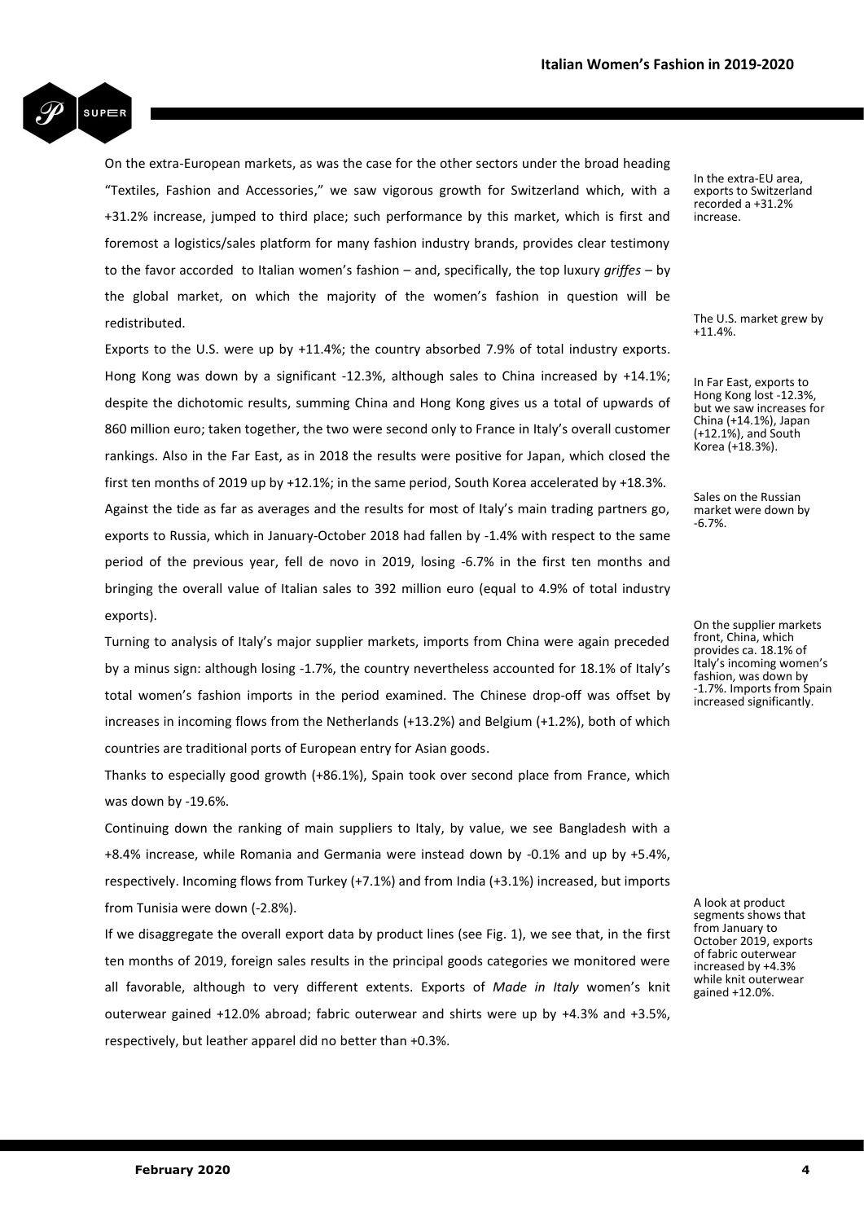

On the extra-European markets, as was the case for the other sectors under the broad heading "Textiles, Fashion and Accessories," we saw vigorous growth for Switzerland which, with a +31.2% increase, jumped to third place; such performance by this market, which is first and foremost a logistics/sales platform for many fashion industry brands, provides clear testimony to the favor accorded to Italian women's fashion – and, specifically, the top luxury *griffes* – by the global market, on which the majority of the women's fashion in question will be redistributed.

Exports to the U.S. were up by +11.4%; the country absorbed 7.9% of total industry exports. Hong Kong was down by a significant -12.3%, although sales to China increased by +14.1%; despite the dichotomic results, summing China and Hong Kong gives us a total of upwards of 860 million euro; taken together, the two were second only to France in Italy's overall customer rankings. Also in the Far East, as in 2018 the results were positive for Japan, which closed the first ten months of 2019 up by +12.1%; in the same period, South Korea accelerated by +18.3%. Against the tide as far as averages and the results for most of Italy's main trading partners go, exports to Russia, which in January-October 2018 had fallen by -1.4% with respect to the same period of the previous year, fell de novo in 2019, losing -6.7% in the first ten months and bringing the overall value of Italian sales to 392 million euro (equal to 4.9% of total industry exports).

Turning to analysis of Italy's major supplier markets, imports from China were again preceded by a minus sign: although losing -1.7%, the country nevertheless accounted for 18.1% of Italy's total women's fashion imports in the period examined. The Chinese drop-off was offset by increases in incoming flows from the Netherlands (+13.2%) and Belgium (+1.2%), both of which countries are traditional ports of European entry for Asian goods.

Thanks to especially good growth (+86.1%), Spain took over second place from France, which was down by -19.6%.

Continuing down the ranking of main suppliers to Italy, by value, we see Bangladesh with a +8.4% increase, while Romania and Germania were instead down by -0.1% and up by +5.4%, respectively. Incoming flows from Turkey (+7.1%) and from India (+3.1%) increased, but imports from Tunisia were down (-2.8%).

If we disaggregate the overall export data by product lines (see Fig. 1), we see that, in the first ten months of 2019, foreign sales results in the principal goods categories we monitored were all favorable, although to very different extents. Exports of *Made in Italy* women's knit outerwear gained +12.0% abroad; fabric outerwear and shirts were up by +4.3% and +3.5%, respectively, but leather apparel did no better than +0.3%.

In the extra-EU area, exports to Switzerland recorded a +31.2% increase.

The U.S. market grew by  $+11.4%$ 

In Far East, exports to Hong Kong lost -12.3%, but we saw increases for China (+14.1%), Japan (+12.1%), and South Korea (+18.3%).

Sales on the Russian market were down by -6.7%.

On the supplier markets front, China, which provides ca. 18.1% of Italy's incoming women's fashion, was down by -1.7%. Imports from Spain increased significantly.

A look at product segments shows that from January to October 2019, exports of fabric outerwear increased by +4.3% while knit outerwear gained +12.0%.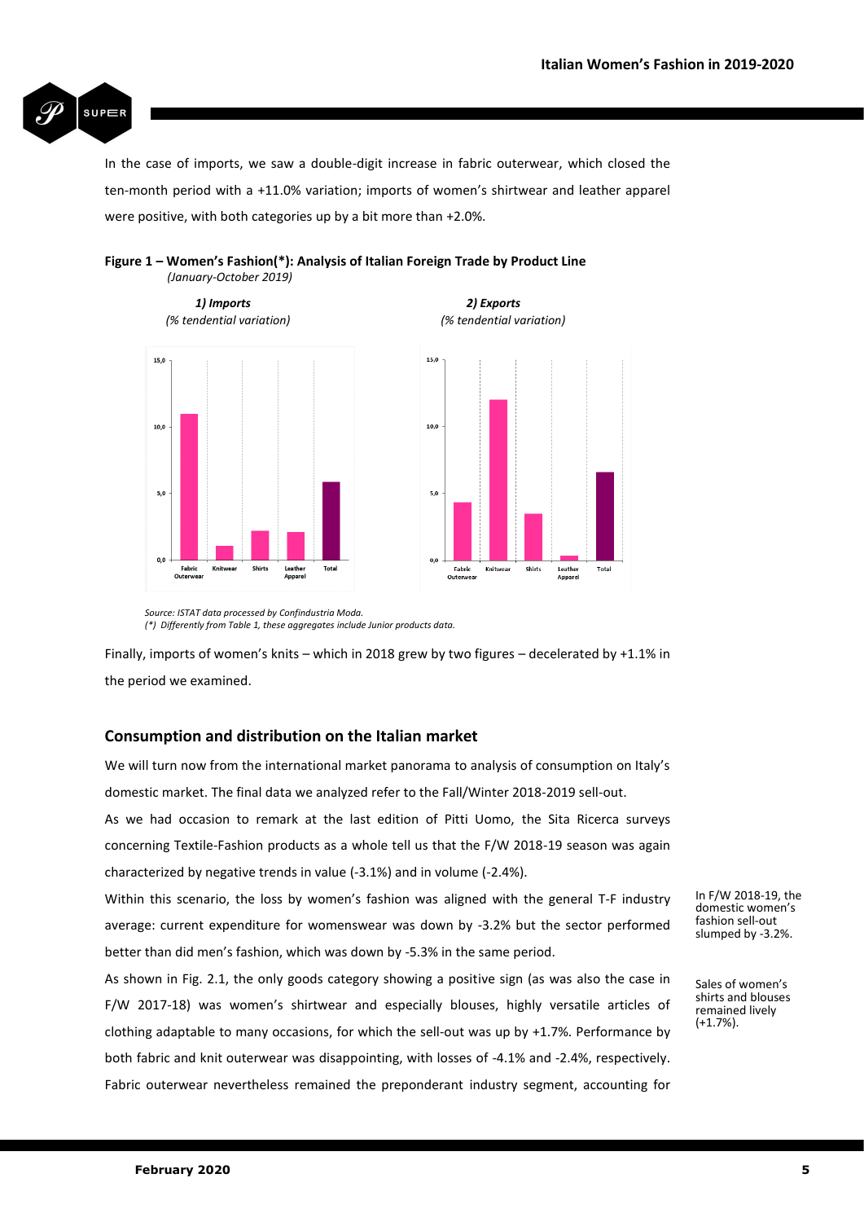

In the case of imports, we saw a double-digit increase in fabric outerwear, which closed the ten-month period with a +11.0% variation; imports of women's shirtwear and leather apparel were positive, with both categories up by a bit more than +2.0%.



## **Figure 1 – Women's Fashion(\*): Analysis of Italian Foreign Trade by Product Line** *(January-October 2019)*

*Source: ISTAT data processed by Confindustria Moda. (\*) Differently from Table 1, these aggregates include Junior products data.*

Finally, imports of women's knits – which in 2018 grew by two figures – decelerated by +1.1% in the period we examined.

# **Consumption and distribution on the Italian market**

We will turn now from the international market panorama to analysis of consumption on Italy's domestic market. The final data we analyzed refer to the Fall/Winter 2018-2019 sell-out.

As we had occasion to remark at the last edition of Pitti Uomo, the Sita Ricerca surveys concerning Textile-Fashion products as a whole tell us that the F/W 2018-19 season was again characterized by negative trends in value (-3.1%) and in volume (-2.4%).

Within this scenario, the loss by women's fashion was aligned with the general T-F industry average: current expenditure for womenswear was down by -3.2% but the sector performed better than did men's fashion, which was down by -5.3% in the same period.

As shown in Fig. 2.1, the only goods category showing a positive sign (as was also the case in F/W 2017-18) was women's shirtwear and especially blouses, highly versatile articles of clothing adaptable to many occasions, for which the sell-out was up by +1.7%. Performance by both fabric and knit outerwear was disappointing, with losses of -4.1% and -2.4%, respectively. Fabric outerwear nevertheless remained the preponderant industry segment, accounting for

In F/W 2018-19, the domestic women's fashion sell-out slumped by -3.2%.

Sales of women's shirts and blouses remained lively (+1.7%).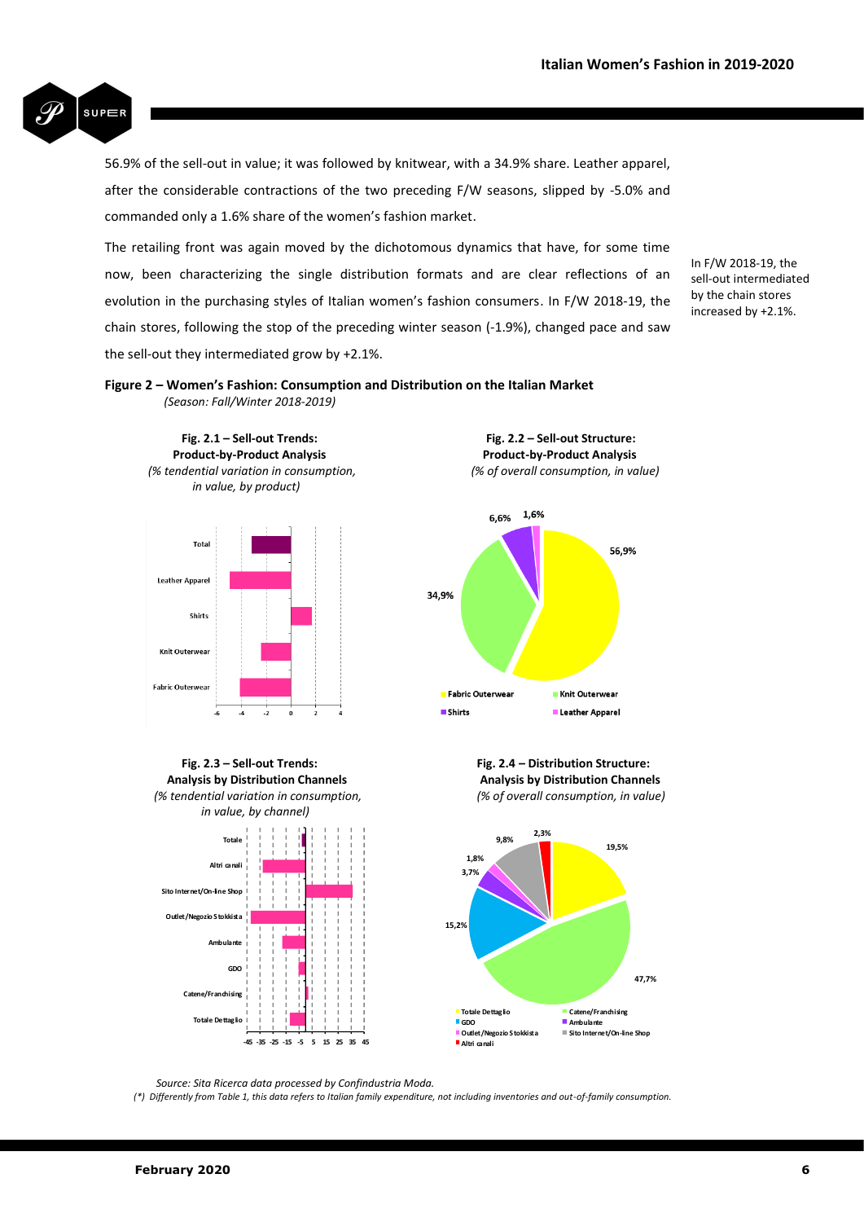

56.9% of the sell-out in value; it was followed by knitwear, with a 34.9% share. Leather apparel, after the considerable contractions of the two preceding F/W seasons, slipped by -5.0% and commanded only a 1.6% share of the women's fashion market.

The retailing front was again moved by the dichotomous dynamics that have, for some time now, been characterizing the single distribution formats and are clear reflections of an evolution in the purchasing styles of Italian women's fashion consumers. In F/W 2018-19, the chain stores, following the stop of the preceding winter season (-1.9%), changed pace and saw the sell-out they intermediated grow by +2.1%.

In F/W 2018-19, the sell-out intermediated by the chain stores increased by +2.1%.





 $6,6\%$  1,6% 56.9% 34,9% <mark>-</mark> Fabric Outerweal Knit Outerwear  $$ Leather Apparel

 **Fig. 2.3 – Sell-out Trends: Fig. 2.4 – Distribution Structure: Analysis by Distribution Channels Analysis by Distribution Channels**  *(% tendential variation in consumption, (% of overall consumption, in value)* 





*Source: Sita Ricerca data processed by Confindustria Moda.*

 *(\*) Differently from Table 1, this data refers to Italian family expenditure, not including inventories and out-of-family consumption.*